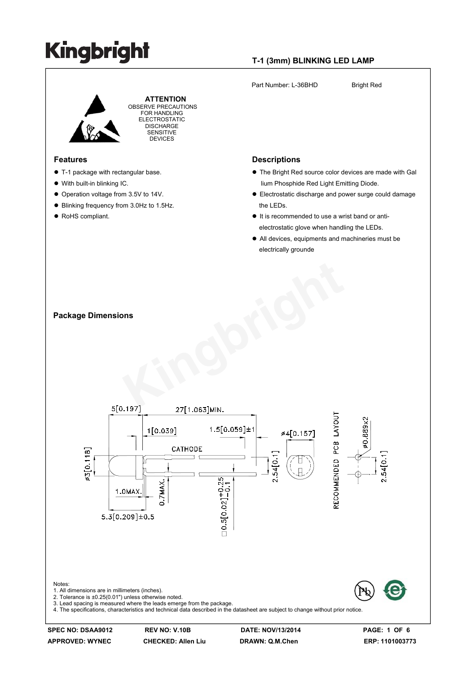#### **T-1 (3mm) BLINKING LED LAMP**

Part Number: L-36BHD Bright Red

 **ATTENTION** OBSERVE PRECAUTIONS FOR HANDLING ELECTROSTATIC **DISCHARGE** SENSITIVE DEVICES

#### **Features**

- $\bullet$  T-1 package with rectangular base.
- With built-in blinking IC.

**Package Dimensions** 

- Operation voltage from 3.5V to 14V.
- Blinking frequency from 3.0Hz to 1.5Hz.
- RoHS compliant.

### **Descriptions**

- The Bright Red source color devices are made with Gal lium Phosphide Red Light Emitting Diode.
- Electrostatic discharge and power surge could damage the LEDs.
- $\bullet$  It is recommended to use a wrist band or antielectrostatic glove when handling the LEDs.
- All devices, equipments and machineries must be electrically grounde



**APPROVED: WYNEC CHECKED: Allen Liu DRAWN: Q.M.Chen ERP: 1101003773**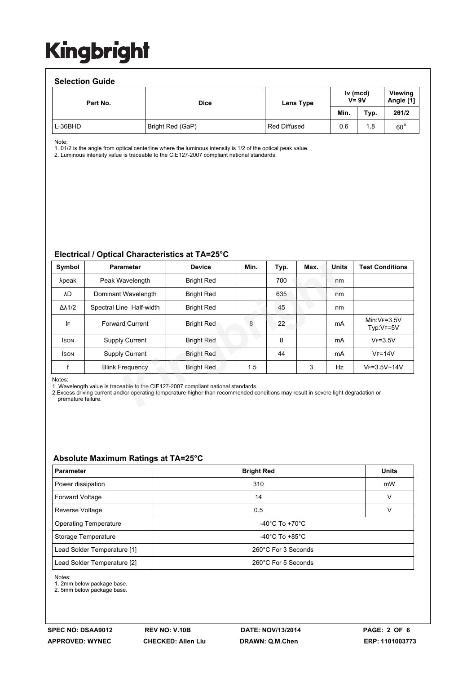#### **Selection Guide**  Part No. **Dice Dice Lens Type Viewing Angle [1] Min. Typ. 2θ1/2**  L-36BHD Bright Red (GaP) Red Diffused 0.6 1.8 60° **Iv (mcd) V= 9V**

Note:

1. θ1/2 is the angle from optical centerline where the luminous intensity is 1/2 of the optical peak value.

2. Luminous intensity value is traceable to the CIE127-2007 compliant national standards.

#### **Electrical / Optical Characteristics at TA=25°C**

| Symbol                                                                                                                                                                                                                                                   | <b>Parameter</b>         | <b>Device</b>     | Min. | Typ. | Max. | Units | <b>Test Conditions</b>     |  |
|----------------------------------------------------------------------------------------------------------------------------------------------------------------------------------------------------------------------------------------------------------|--------------------------|-------------------|------|------|------|-------|----------------------------|--|
| λpeak                                                                                                                                                                                                                                                    | Peak Wavelength          | <b>Bright Red</b> |      | 700  |      | nm    |                            |  |
| λD                                                                                                                                                                                                                                                       | Dominant Wavelength      | <b>Bright Red</b> |      | 635  |      | nm    |                            |  |
| $\Delta\lambda$ 1/2                                                                                                                                                                                                                                      | Spectral Line Half-width | <b>Bright Red</b> |      | 45   |      | nm    |                            |  |
| IF                                                                                                                                                                                                                                                       | <b>Forward Current</b>   | <b>Bright Red</b> | 8    | 22   |      | mA    | $Min:VF=3.5V$<br>Typ:VF=5V |  |
| <b>ISON</b>                                                                                                                                                                                                                                              | <b>Supply Current</b>    | <b>Bright Red</b> |      | 8    |      | mA    | $VF = 3.5V$                |  |
| <b>ISON</b>                                                                                                                                                                                                                                              | <b>Supply Current</b>    | <b>Bright Red</b> |      | 44   |      | mA    | $VF = 14V$                 |  |
|                                                                                                                                                                                                                                                          | <b>Blink Frequency</b>   | <b>Bright Red</b> | 1.5  |      | 3    | Hz    | $VF = 3.5V - 14V$          |  |
| Notes:<br>1. Wavelength value is traceable to the CIE127-2007 compliant national standards.<br>2. Excess driving current and/or operating temperature higher than recommended conditions may result in severe light degradation or<br>premature failure. |                          |                   |      |      |      |       |                            |  |

#### **Absolute Maximum Ratings at TA=25°C**

| <b>Parameter</b>             | <b>Bright Red</b>                    | <b>Units</b> |  |  |  |
|------------------------------|--------------------------------------|--------------|--|--|--|
| Power dissipation            | 310                                  | mW           |  |  |  |
| <b>Forward Voltage</b>       | 14                                   | v            |  |  |  |
| Reverse Voltage              | 0.5                                  | v            |  |  |  |
| <b>Operating Temperature</b> | -40 $^{\circ}$ C To +70 $^{\circ}$ C |              |  |  |  |
| Storage Temperature          | -40 $^{\circ}$ C To +85 $^{\circ}$ C |              |  |  |  |
| Lead Solder Temperature [1]  | 260°C For 3 Seconds                  |              |  |  |  |
| Lead Solder Temperature [2]  | 260°C For 5 Seconds                  |              |  |  |  |

Notes:

1. 2mm below package base.

2. 5mm below package base.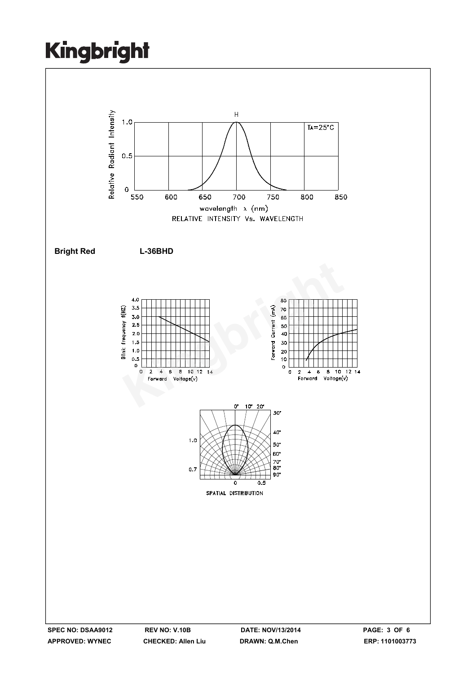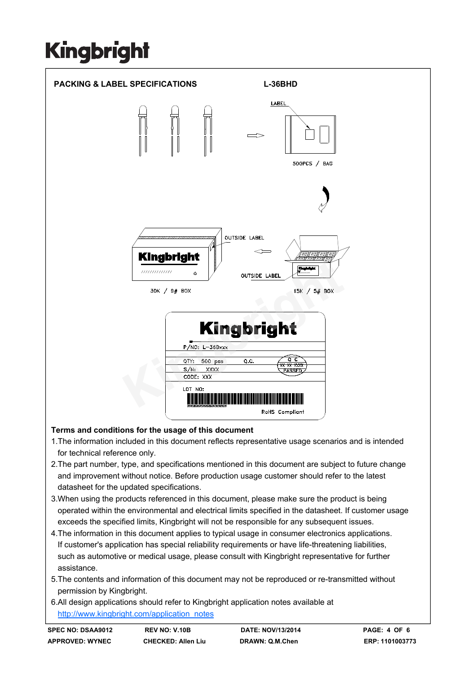

#### **Terms and conditions for the usage of this document**

- 1.The information included in this document reflects representative usage scenarios and is intended for technical reference only.
- 2.The part number, type, and specifications mentioned in this document are subject to future change and improvement without notice. Before production usage customer should refer to the latest datasheet for the updated specifications.
- 3.When using the products referenced in this document, please make sure the product is being operated within the environmental and electrical limits specified in the datasheet. If customer usage exceeds the specified limits, Kingbright will not be responsible for any subsequent issues.
- 4.The information in this document applies to typical usage in consumer electronics applications. If customer's application has special reliability requirements or have life-threatening liabilities, such as automotive or medical usage, please consult with Kingbright representative for further assistance.
- 5.The contents and information of this document may not be reproduced or re-transmitted without permission by Kingbright.
- 6.All design applications should refer to Kingbright application notes available at http://www.kingbright.com/application\_notes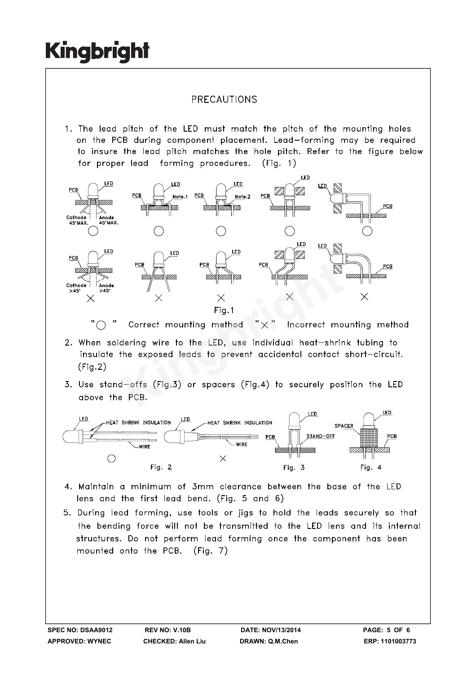### PRECAUTIONS

1. The lead pitch of the LED must match the pitch of the mounting holes on the PCB during component placement. Lead-forming may be required to insure the lead pitch matches the hole pitch. Refer to the figure below for proper lead forming procedures.  $(Fia. 1)$ 



 $"$ 

- $(Fig.2)$
- 



- 4. Maintain a minimum of 3mm clearance between the base of the LED lens and the first lead bend. (Fig. 5 and 6)
- 5. During lead forming, use tools or jigs to hold the leads securely so that the bending force will not be transmitted to the LED lens and its internal structures. Do not perform lead forming once the component has been mounted onto the PCB. (Fig. 7)